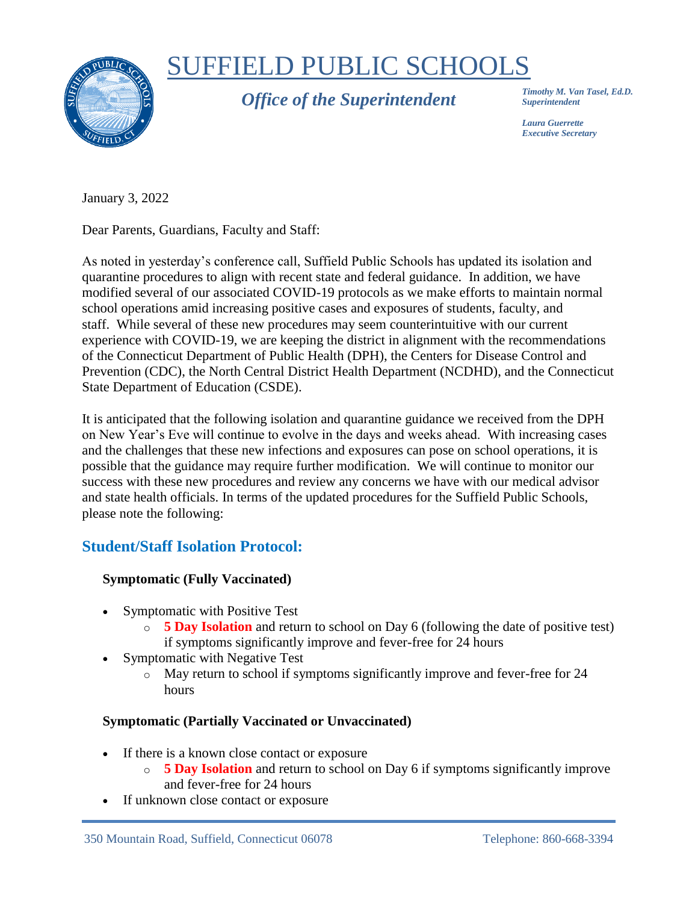

# SUFFIELD PUBLIC SCHOOLS

*Office of the Superintendent*

*Timothy M. Van Tasel, Ed.D. Superintendent*

*Laura Guerrette Executive Secretary*

January 3, 2022

Dear Parents, Guardians, Faculty and Staff:

As noted in yesterday's conference call, Suffield Public Schools has updated its isolation and quarantine procedures to align with recent state and federal guidance. In addition, we have modified several of our associated COVID-19 protocols as we make efforts to maintain normal school operations amid increasing positive cases and exposures of students, faculty, and staff. While several of these new procedures may seem counterintuitive with our current experience with COVID-19, we are keeping the district in alignment with the recommendations of the Connecticut Department of Public Health (DPH), the Centers for Disease Control and Prevention (CDC), the North Central District Health Department (NCDHD), and the Connecticut State Department of Education (CSDE).

It is anticipated that the following isolation and quarantine guidance we received from the DPH on New Year's Eve will continue to evolve in the days and weeks ahead. With increasing cases and the challenges that these new infections and exposures can pose on school operations, it is possible that the guidance may require further modification. We will continue to monitor our success with these new procedures and review any concerns we have with our medical advisor and state health officials. In terms of the updated procedures for the Suffield Public Schools, please note the following:

# **Student/Staff Isolation Protocol:**

## **Symptomatic (Fully Vaccinated)**

- Symptomatic with Positive Test
	- o **5 Day Isolation** and return to school on Day 6 (following the date of positive test) if symptoms significantly improve and fever-free for 24 hours
- Symptomatic with Negative Test
	- o May return to school if symptoms significantly improve and fever-free for 24 hours

## **Symptomatic (Partially Vaccinated or Unvaccinated)**

- If there is a known close contact or exposure
	- o **5 Day Isolation** and return to school on Day 6 if symptoms significantly improve and fever-free for 24 hours
- If unknown close contact or exposure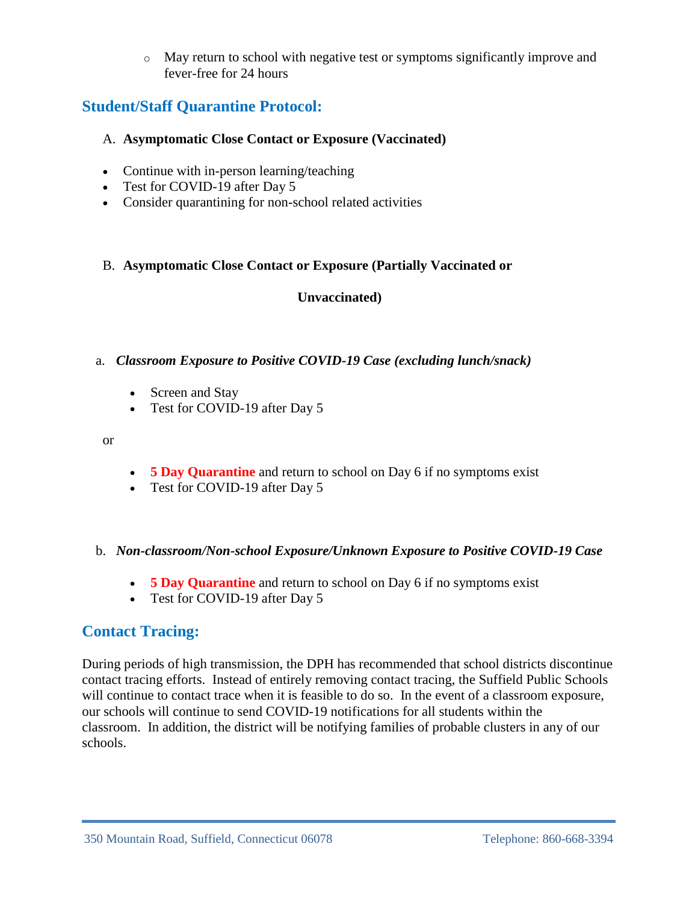o May return to school with negative test or symptoms significantly improve and fever-free for 24 hours

## **Student/Staff Quarantine Protocol:**

#### A. **Asymptomatic Close Contact or Exposure (Vaccinated)**

- Continue with in-person learning/teaching
- Test for COVID-19 after Day 5
- Consider quarantining for non-school related activities

#### B. **Asymptomatic Close Contact or Exposure (Partially Vaccinated or**

#### **Unvaccinated)**

#### a. *Classroom Exposure to Positive COVID-19 Case (excluding lunch/snack)*

- Screen and Stay
- Test for COVID-19 after Day 5

or

- **5 Day Quarantine** and return to school on Day 6 if no symptoms exist
- Test for COVID-19 after Day 5

#### b. *Non-classroom/Non-school Exposure/Unknown Exposure to Positive COVID-19 Case*

- **5 Day Quarantine** and return to school on Day 6 if no symptoms exist
- Test for COVID-19 after Day 5

# **Contact Tracing:**

During periods of high transmission, the DPH has recommended that school districts discontinue contact tracing efforts. Instead of entirely removing contact tracing, the Suffield Public Schools will continue to contact trace when it is feasible to do so. In the event of a classroom exposure, our schools will continue to send COVID-19 notifications for all students within the classroom. In addition, the district will be notifying families of probable clusters in any of our schools.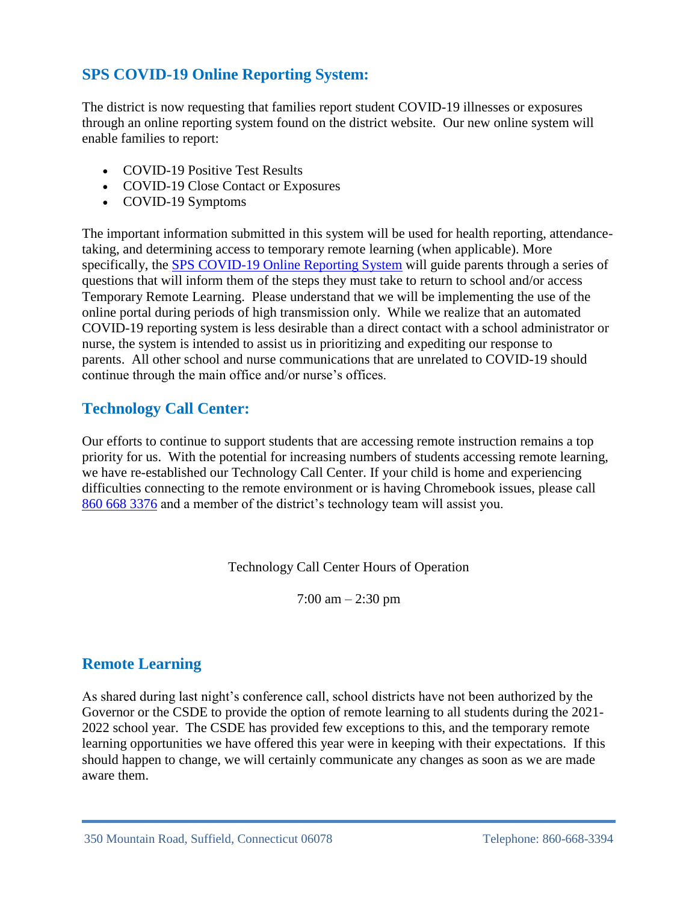# **SPS COVID-19 Online Reporting System:**

The district is now requesting that families report student COVID-19 illnesses or exposures through an online reporting system found on the district website. Our new online system will enable families to report:

- COVID-19 Positive Test Results
- COVID-19 Close Contact or Exposures
- COVID-19 Symptoms

The important information submitted in this system will be used for health reporting, attendancetaking, and determining access to temporary remote learning (when applicable). More specifically, the [SPS COVID-19 Online Reporting System](https://docs.google.com/forms/d/e/1FAIpQLSc86H_5eE5gTUnHCUlomZ8O_RQNjwV_9vrjZ4egPh2d7yvZ-w/viewform) will guide parents through a series of questions that will inform them of the steps they must take to return to school and/or access Temporary Remote Learning. Please understand that we will be implementing the use of the online portal during periods of high transmission only. While we realize that an automated COVID-19 reporting system is less desirable than a direct contact with a school administrator or nurse, the system is intended to assist us in prioritizing and expediting our response to parents. All other school and nurse communications that are unrelated to COVID-19 should continue through the main office and/or nurse's offices.

## **Technology Call Center:**

Our efforts to continue to support students that are accessing remote instruction remains a top priority for us. With the potential for increasing numbers of students accessing remote learning, we have re-established our Technology Call Center. If your child is home and experiencing difficulties connecting to the remote environment or is having Chromebook issues, please call [860 668 3376](tel:8606683376) and a member of the district's technology team will assist you.

Technology Call Center Hours of Operation

7:00 am – 2:30 pm

## **Remote Learning**

As shared during last night's conference call, school districts have not been authorized by the Governor or the CSDE to provide the option of remote learning to all students during the 2021- 2022 school year. The CSDE has provided few exceptions to this, and the temporary remote learning opportunities we have offered this year were in keeping with their expectations. If this should happen to change, we will certainly communicate any changes as soon as we are made aware them.